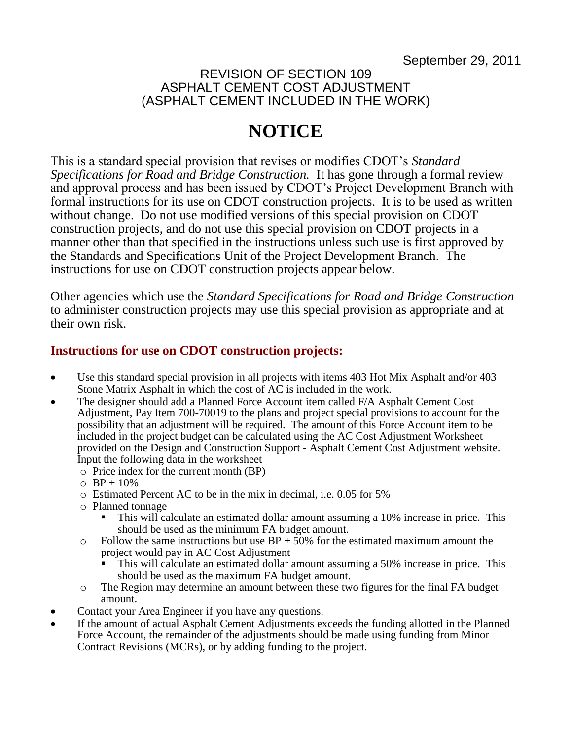### REVISION OF SECTION 109 ASPHALT CEMENT COST ADJUSTMENT (ASPHALT CEMENT INCLUDED IN THE WORK)

# **NOTICE**

This is a standard special provision that revises or modifies CDOT's *Standard Specifications for Road and Bridge Construction.* It has gone through a formal review and approval process and has been issued by CDOT's Project Development Branch with formal instructions for its use on CDOT construction projects. It is to be used as written without change. Do not use modified versions of this special provision on CDOT construction projects, and do not use this special provision on CDOT projects in a manner other than that specified in the instructions unless such use is first approved by the Standards and Specifications Unit of the Project Development Branch. The instructions for use on CDOT construction projects appear below.

Other agencies which use the *Standard Specifications for Road and Bridge Construction* to administer construction projects may use this special provision as appropriate and at their own risk.

## **Instructions for use on CDOT construction projects:**

- Use this standard special provision in all projects with items 403 Hot Mix Asphalt and/or 403 Stone Matrix Asphalt in which the cost of AC is included in the work.
- The designer should add a Planned Force Account item called F/A Asphalt Cement Cost Adjustment, Pay Item 700-70019 to the plans and project special provisions to account for the possibility that an adjustment will be required. The amount of this Force Account item to be included in the project budget can be calculated using the AC Cost Adjustment Worksheet provided on the Design and Construction Support - Asphalt Cement Cost Adjustment website. Input the following data in the worksheet
	- o Price index for the current month (BP)
	- $O$  BP + 10%
	- o Estimated Percent AC to be in the mix in decimal, i.e. 0.05 for 5%
	- o Planned tonnage
		- This will calculate an estimated dollar amount assuming a 10% increase in price. This should be used as the minimum FA budget amount.
	- $\circ$  Follow the same instructions but use BP + 50% for the estimated maximum amount the project would pay in AC Cost Adjustment
		- This will calculate an estimated dollar amount assuming a 50% increase in price. This should be used as the maximum FA budget amount.
	- o The Region may determine an amount between these two figures for the final FA budget amount.
- Contact your Area Engineer if you have any questions.
- If the amount of actual Asphalt Cement Adjustments exceeds the funding allotted in the Planned Force Account, the remainder of the adjustments should be made using funding from Minor Contract Revisions (MCRs), or by adding funding to the project.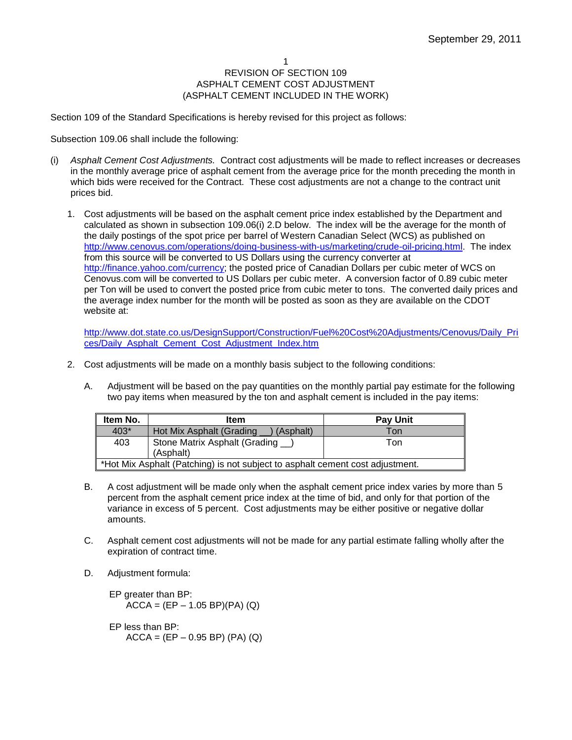#### 1 REVISION OF SECTION 109 ASPHALT CEMENT COST ADJUSTMENT (ASPHALT CEMENT INCLUDED IN THE WORK)

Section 109 of the Standard Specifications is hereby revised for this project as follows:

#### Subsection 109.06 shall include the following:

- (i) *Asphalt Cement Cost Adjustments.* Contract cost adjustments will be made to reflect increases or decreases in the monthly average price of asphalt cement from the average price for the month preceding the month in which bids were received for the Contract. These cost adjustments are not a change to the contract unit prices bid.
	- 1. Cost adjustments will be based on the asphalt cement price index established by the Department and calculated as shown in subsection 109.06(i) 2.D below. The index will be the average for the month of the daily postings of the spot price per barrel of Western Canadian Select (WCS) as published on [http://www.cenovus.com/operations/doing-business-with-us/marketing/crude-oil-pricing.html.](http://www.cenovus.com/operations/doing-business-with-us/marketing/crude-oil-pricing.html) The index from this source will be converted to US Dollars using the currency converter at [http://finance.yahoo.com/currency;](http://finance.yahoo.com/currency) the posted price of Canadian Dollars per cubic meter of WCS on Cenovus.com will be converted to US Dollars per cubic meter. A conversion factor of 0.89 cubic meter per Ton will be used to convert the posted price from cubic meter to tons. The converted daily prices and the average index number for the month will be posted as soon as they are available on the CDOT website at:

[http://www.dot.state.co.us/DesignSupport/Construction/Fuel%20Cost%20Adjustments/Cenovus/Daily\\_Pri](http://www.dot.state.co.us/DesignSupport/Construction/Fuel%20Cost%20Adjustments/Cenovus/Daily_Prices/Daily_Asphalt_Cement_Cost_Adjustment_Index.htm) [ces/Daily\\_Asphalt\\_Cement\\_Cost\\_Adjustment\\_Index.htm](http://www.dot.state.co.us/DesignSupport/Construction/Fuel%20Cost%20Adjustments/Cenovus/Daily_Prices/Daily_Asphalt_Cement_Cost_Adjustment_Index.htm)

- 2. Cost adjustments will be made on a monthly basis subject to the following conditions:
	- A. Adjustment will be based on the pay quantities on the monthly partial pay estimate for the following two pay items when measured by the ton and asphalt cement is included in the pay items:

| Item No.                                                                        | <b>Item</b>                             | <b>Pay Unit</b> |
|---------------------------------------------------------------------------------|-----------------------------------------|-----------------|
| $403*$                                                                          | Hot Mix Asphalt (Grading<br>) (Asphalt) | Ton             |
| 403                                                                             | Stone Matrix Asphalt (Grading _)        | Ton             |
|                                                                                 | (Asphalt)                               |                 |
| ∥ *Hot Mix Asphalt (Patching) is not subject to asphalt cement cost adjustment. |                                         |                 |

- B. A cost adjustment will be made only when the asphalt cement price index varies by more than 5 percent from the asphalt cement price index at the time of bid, and only for that portion of the variance in excess of 5 percent. Cost adjustments may be either positive or negative dollar amounts.
- C. Asphalt cement cost adjustments will not be made for any partial estimate falling wholly after the expiration of contract time.
- D. Adjustment formula:

EP greater than BP:  $ACCA = (EP - 1.05 BP)(PA) (Q)$ 

EP less than BP:  $ACCA = (EP - 0.95 BP) (PA) (Q)$